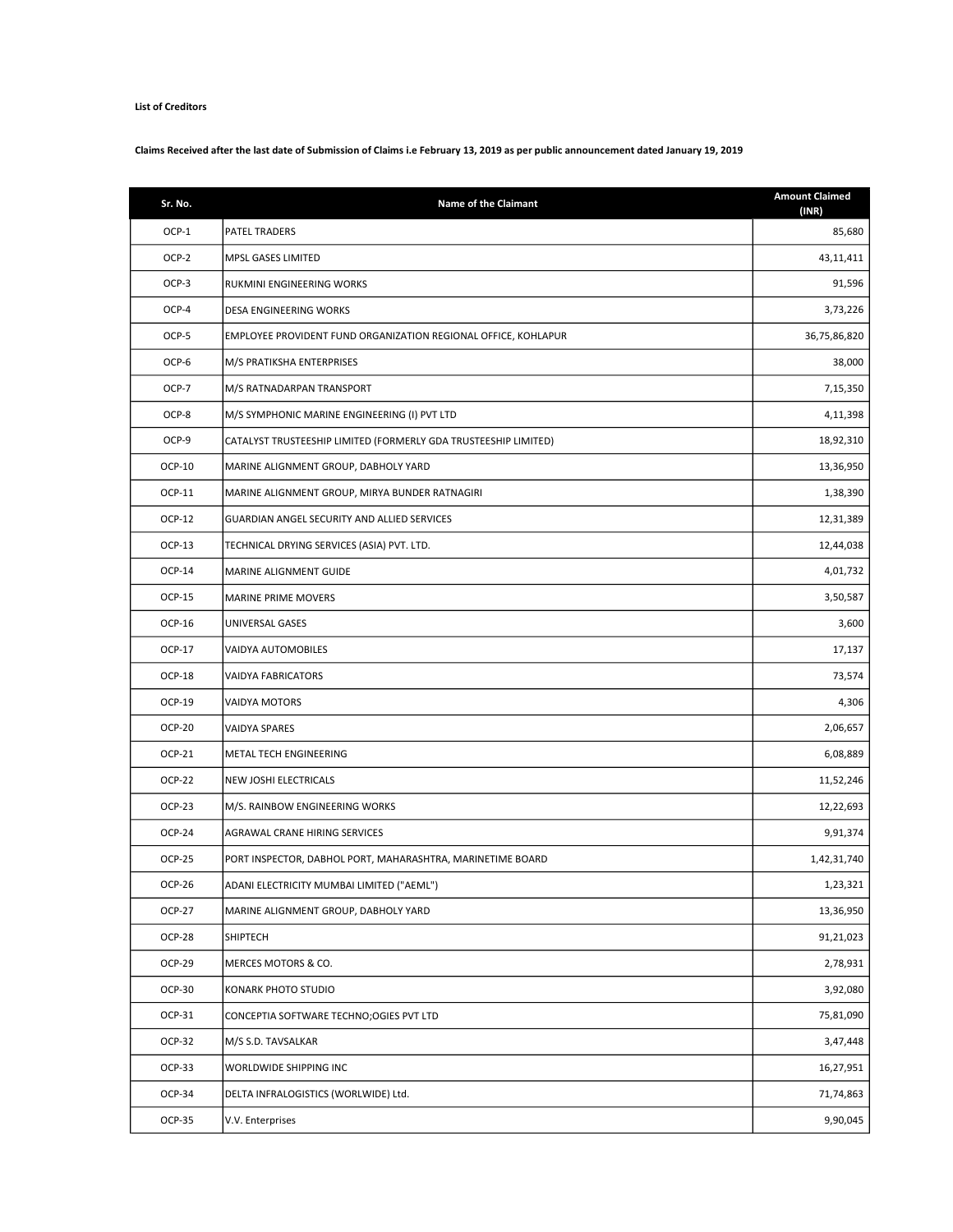## List of Creditors

## Claims Received after the last date of Submission of Claims i.e February 13, 2019 as per public announcement dated January 19, 2019

| Sr. No.       | <b>Name of the Claimant</b>                                     | <b>Amount Claimed</b><br>(INR) |
|---------------|-----------------------------------------------------------------|--------------------------------|
| OCP-1         | PATEL TRADERS                                                   | 85,680                         |
| OCP-2         | MPSL GASES LIMITED                                              | 43,11,411                      |
| OCP-3         | RUKMINI ENGINEERING WORKS                                       | 91,596                         |
| OCP-4         | DESA ENGINEERING WORKS                                          | 3,73,226                       |
| OCP-5         | EMPLOYEE PROVIDENT FUND ORGANIZATION REGIONAL OFFICE, KOHLAPUR  | 36,75,86,820                   |
| OCP-6         | M/S PRATIKSHA ENTERPRISES                                       | 38,000                         |
| OCP-7         | M/S RATNADARPAN TRANSPORT                                       | 7,15,350                       |
| OCP-8         | M/S SYMPHONIC MARINE ENGINEERING (I) PVT LTD                    | 4,11,398                       |
| OCP-9         | CATALYST TRUSTEESHIP LIMITED (FORMERLY GDA TRUSTEESHIP LIMITED) | 18,92,310                      |
| OCP-10        | MARINE ALIGNMENT GROUP, DABHOLY YARD                            | 13,36,950                      |
| OCP-11        | MARINE ALIGNMENT GROUP, MIRYA BUNDER RATNAGIRI                  | 1,38,390                       |
| OCP-12        | GUARDIAN ANGEL SECURITY AND ALLIED SERVICES                     | 12,31,389                      |
| OCP-13        | TECHNICAL DRYING SERVICES (ASIA) PVT. LTD.                      | 12,44,038                      |
| OCP-14        | MARINE ALIGNMENT GUIDE                                          | 4,01,732                       |
| <b>OCP-15</b> | MARINE PRIME MOVERS                                             | 3,50,587                       |
| OCP-16        | UNIVERSAL GASES                                                 | 3,600                          |
| OCP-17        | VAIDYA AUTOMOBILES                                              | 17,137                         |
| <b>OCP-18</b> | <b>VAIDYA FABRICATORS</b>                                       | 73,574                         |
| OCP-19        | VAIDYA MOTORS                                                   | 4,306                          |
| <b>OCP-20</b> | VAIDYA SPARES                                                   | 2,06,657                       |
| OCP-21        | METAL TECH ENGINEERING                                          | 6,08,889                       |
| <b>OCP-22</b> | NEW JOSHI ELECTRICALS                                           | 11,52,246                      |
| <b>OCP-23</b> | M/S. RAINBOW ENGINEERING WORKS                                  | 12,22,693                      |
| OCP-24        | AGRAWAL CRANE HIRING SERVICES                                   | 9,91,374                       |
| <b>OCP-25</b> | PORT INSPECTOR, DABHOL PORT, MAHARASHTRA, MARINETIME BOARD      | 1,42,31,740                    |
| OCP-26        | ADANI ELECTRICITY MUMBAI LIMITED ("AEML")                       | 1,23,321                       |
| <b>OCP-27</b> | MARINE ALIGNMENT GROUP, DABHOLY YARD                            | 13,36,950                      |
| <b>OCP-28</b> | SHIPTECH                                                        | 91,21,023                      |
| OCP-29        | MERCES MOTORS & CO.                                             | 2,78,931                       |
| OCP-30        | KONARK PHOTO STUDIO                                             | 3,92,080                       |
| OCP-31        | CONCEPTIA SOFTWARE TECHNO; OGIES PVT LTD                        | 75,81,090                      |
| OCP-32        | M/S S.D. TAVSALKAR                                              | 3,47,448                       |
| OCP-33        | WORLDWIDE SHIPPING INC                                          | 16,27,951                      |
| OCP-34        | DELTA INFRALOGISTICS (WORLWIDE) Ltd.                            | 71,74,863                      |
| OCP-35        | V.V. Enterprises                                                | 9,90,045                       |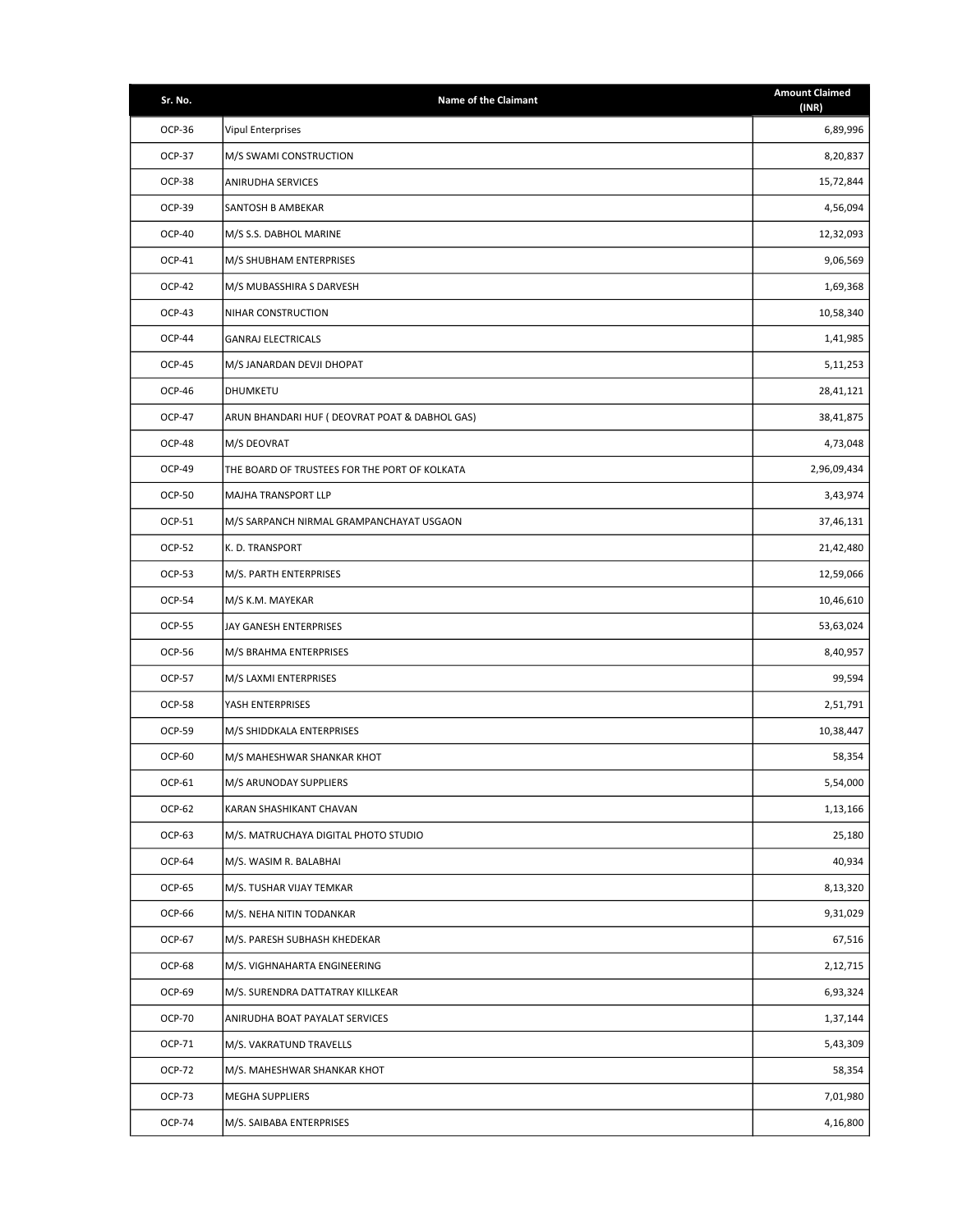| Sr. No.       | <b>Name of the Claimant</b>                    | <b>Amount Claimed</b><br>(INR) |
|---------------|------------------------------------------------|--------------------------------|
| OCP-36        | <b>Vipul Enterprises</b>                       | 6,89,996                       |
| <b>OCP-37</b> | M/S SWAMI CONSTRUCTION                         | 8,20,837                       |
| <b>OCP-38</b> | ANIRUDHA SERVICES                              | 15,72,844                      |
| OCP-39        | SANTOSH B AMBEKAR                              | 4,56,094                       |
| <b>OCP-40</b> | M/S S.S. DABHOL MARINE                         | 12,32,093                      |
| OCP-41        | M/S SHUBHAM ENTERPRISES                        | 9,06,569                       |
| <b>OCP-42</b> | M/S MUBASSHIRA S DARVESH                       | 1,69,368                       |
| OCP-43        | NIHAR CONSTRUCTION                             | 10,58,340                      |
| <b>OCP-44</b> | <b>GANRAJ ELECTRICALS</b>                      | 1,41,985                       |
| <b>OCP-45</b> | M/S JANARDAN DEVJI DHOPAT                      | 5,11,253                       |
| OCP-46        | DHUMKETU                                       | 28,41,121                      |
| <b>OCP-47</b> | ARUN BHANDARI HUF ( DEOVRAT POAT & DABHOL GAS) | 38,41,875                      |
| OCP-48        | M/S DEOVRAT                                    | 4,73,048                       |
| OCP-49        | THE BOARD OF TRUSTEES FOR THE PORT OF KOLKATA  | 2,96,09,434                    |
| <b>OCP-50</b> | <b>MAJHA TRANSPORT LLP</b>                     | 3,43,974                       |
| OCP-51        | M/S SARPANCH NIRMAL GRAMPANCHAYAT USGAON       | 37,46,131                      |
| <b>OCP-52</b> | K.D. TRANSPORT                                 | 21,42,480                      |
| <b>OCP-53</b> | M/S. PARTH ENTERPRISES                         | 12,59,066                      |
| <b>OCP-54</b> | M/S K.M. MAYEKAR                               | 10,46,610                      |
| <b>OCP-55</b> | JAY GANESH ENTERPRISES                         | 53,63,024                      |
| OCP-56        | M/S BRAHMA ENTERPRISES                         | 8,40,957                       |
| <b>OCP-57</b> | M/S LAXMI ENTERPRISES                          | 99,594                         |
| <b>OCP-58</b> | YASH ENTERPRISES                               | 2,51,791                       |
| OCP-59        | M/S SHIDDKALA ENTERPRISES                      | 10,38,447                      |
| OCP-60        | M/S MAHESHWAR SHANKAR KHOT                     | 58,354                         |
| OCP-61        | M/S ARUNODAY SUPPLIERS                         | 5,54,000                       |
| <b>OCP-62</b> | KARAN SHASHIKANT CHAVAN                        | 1,13,166                       |
| OCP-63        | M/S. MATRUCHAYA DIGITAL PHOTO STUDIO           | 25,180                         |
| OCP-64        | M/S. WASIM R. BALABHAI                         | 40,934                         |
| OCP-65        | M/S. TUSHAR VIJAY TEMKAR                       | 8,13,320                       |
| OCP-66        | M/S. NEHA NITIN TODANKAR                       | 9,31,029                       |
| OCP-67        | M/S. PARESH SUBHASH KHEDEKAR                   | 67,516                         |
| OCP-68        | M/S. VIGHNAHARTA ENGINEERING                   | 2,12,715                       |
| OCP-69        | M/S. SURENDRA DATTATRAY KILLKEAR               | 6,93,324                       |
| <b>OCP-70</b> | ANIRUDHA BOAT PAYALAT SERVICES                 | 1,37,144                       |
| OCP-71        | M/S. VAKRATUND TRAVELLS                        | 5,43,309                       |
| OCP-72        | M/S. MAHESHWAR SHANKAR KHOT                    | 58,354                         |
| OCP-73        | <b>MEGHA SUPPLIERS</b>                         | 7,01,980                       |
| OCP-74        | M/S. SAIBABA ENTERPRISES                       | 4,16,800                       |